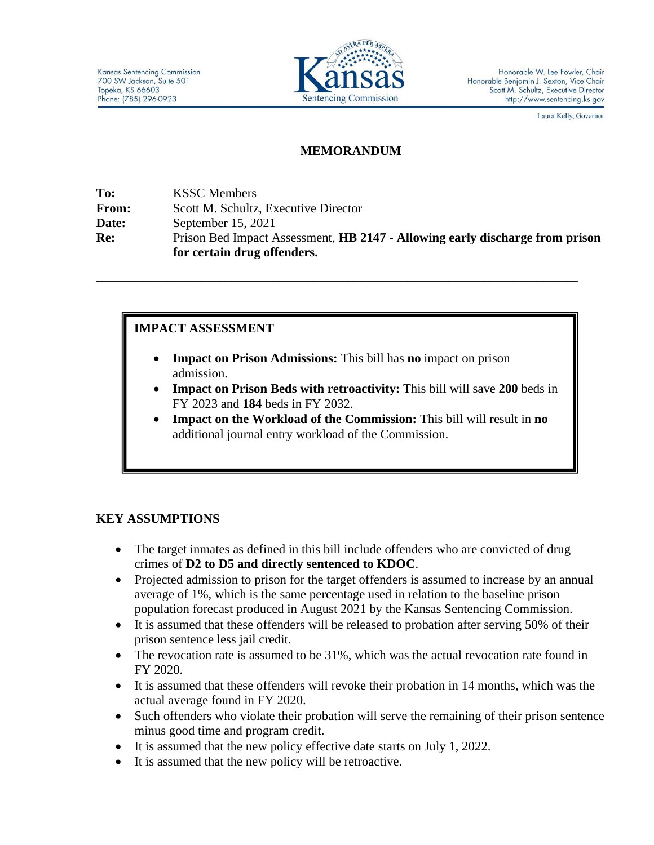

Laura Kelly, Governor

### **MEMORANDUM**

**To:** KSSC Members **From:** Scott M. Schultz, Executive Director **Date:** September 15, 2021 **Re:** Prison Bed Impact Assessment, **HB 2147 - Allowing early discharge from prison for certain drug offenders.**

# **IMPACT ASSESSMENT**

• **Impact on Prison Admissions:** This bill has **no** impact on prison admission.

**\_\_\_\_\_\_\_\_\_\_\_\_\_\_\_\_\_\_\_\_\_\_\_\_\_\_\_\_\_\_\_\_\_\_\_\_\_\_\_\_\_\_\_\_\_\_\_\_\_\_\_\_\_\_\_\_\_\_\_\_\_\_\_\_\_\_\_\_\_\_\_\_\_\_\_\_\_\_\_\_\_\_**

- **Impact on Prison Beds with retroactivity:** This bill will save **200** beds in FY 2023 and **184** beds in FY 2032.
- **Impact on the Workload of the Commission:** This bill will result in **no** additional journal entry workload of the Commission.

# **KEY ASSUMPTIONS**

- The target inmates as defined in this bill include offenders who are convicted of drug crimes of **D2 to D5 and directly sentenced to KDOC**.
- Projected admission to prison for the target offenders is assumed to increase by an annual average of 1%, which is the same percentage used in relation to the baseline prison population forecast produced in August 2021 by the Kansas Sentencing Commission.
- It is assumed that these offenders will be released to probation after serving 50% of their prison sentence less jail credit.
- The revocation rate is assumed to be 31%, which was the actual revocation rate found in FY 2020.
- It is assumed that these offenders will revoke their probation in 14 months, which was the actual average found in FY 2020.
- Such offenders who violate their probation will serve the remaining of their prison sentence minus good time and program credit.
- It is assumed that the new policy effective date starts on July 1, 2022.
- It is assumed that the new policy will be retroactive.